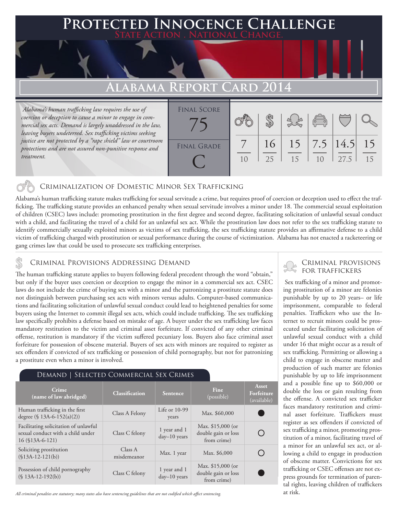# **Protected Innocence Challenge**

### **Alabama Report Card 2014**

 *Alabama's human trafficking law requires the use of coercion or deception to cause a minor to engage in commercial sex acts. Demand is largely unaddressed in the law, leaving buyers undeterred. Sex trafficking victims seeking justice are not protected by a "rape shield" law or courtroom protections and are not assured non-punitive response and treatment.*



#### Criminalization of Domestic Minor Sex Trafficking

Alabama's human trafficking statute makes trafficking for sexual servitude a crime, but requires proof of coercion or deception used to effect the trafficking. The trafficking statute provides an enhanced penalty when sexual servitude involves a minor under 18. The commercial sexual exploitation of children (CSEC) laws include: promoting prostitution in the first degree and second degree, facilitating solicitation of unlawful sexual conduct with a child, and facilitating the travel of a child for an unlawful sex act. While the prostitution law does not refer to the sex trafficking statute to identify commercially sexually exploited minors as victims of sex trafficking, the sex trafficking statute provides an affirmative defense to a child victim of trafficking charged with prostitution or sexual performance during the course of victimization. Alabama has not enacted a racketeering or gang crimes law that could be used to prosecute sex trafficking enterprises.

CRIMINAL PROVISIONS ADDRESSING DEMAND<br>The human trafficking statute applies to buyers following federal precedent through the word "obtain," FOR TRAFFICKERS but only if the buyer uses coercion or deception to engage the minor in a commercial sex act. CSEC laws do not include the crime of buying sex with a minor and the patronizing a prostitute statute does not distinguish between purchasing sex acts with minors versus adults. Computer-based communications and facilitating solicitation of unlawful sexual conduct could lead to heightened penalties for some buyers using the Internet to commit illegal sex acts, which could include trafficking. The sex trafficking law specifically prohibits a defense based on mistake of age. A buyer under the sex trafficking law faces mandatory restitution to the victim and criminal asset forfeiture. If convicted of any other criminal offense, restitution is mandatory if the victim suffered pecuniary loss. Buyers also face criminal asset forfeiture for possession of obscene material. Buyers of sex acts with minors are required to register as sex offenders if convicted of sex trafficking or possession of child pornography, but not for patronizing a prostitute even when a minor is involved.

#### Demand | Selected Commercial Sex Crimes

| Crime<br>(name of law abridged)                                                                  | <b>Classification</b>  | <b>Sentence</b>                | <b>Fine</b><br>(possible)                                | Asset<br>Forfeiture<br>(available) |
|--------------------------------------------------------------------------------------------------|------------------------|--------------------------------|----------------------------------------------------------|------------------------------------|
| Human trafficking in the first<br>degree (§ 13A-6-152(a)(2))                                     | Class A Felony         | Life or $10-99$<br>years       | Max. \$60,000                                            |                                    |
| Facilitating solicitation of unlawful<br>sexual conduct with a child under<br>$16$ (\$13A-6-121) | Class C felony         | 1 year and 1<br>$day-10$ years | Max. \$15,000 (or<br>double gain or loss<br>from crime)  |                                    |
| Soliciting prostitution<br>$(\$13A-12-121(b))$                                                   | Class A<br>misdemeanor | Max. 1 year                    | Max. \$6,000                                             |                                    |
| Possession of child pornography<br>$(S13A-12-192(b))$                                            | Class C felony         | 1 year and 1<br>$day-10$ years | Max. $$15,000$ (or<br>double gain or loss<br>from crime) |                                    |

*All criminal penalties are statutory; many states also have sentencing guidelines that are not codified which affect sentencing.* 

## Criminal provisions

 Sex trafficking of a minor and promoting prostitution of a minor are felonies punishable by up to 20 years– or life imprisonment, comparable to federal penalties. Traffickers who use the Internet to recruit minors could be prosecuted under facilitating solicitation of unlawful sexual conduct with a child under 16 that might occur as a result of sex trafficking. Permitting or allowing a child to engage in obscene matter and production of such matter are felonies punishable by up to life imprisonment and a possible fine up to \$60,000 or double the loss or gain resulting from the offense. A convicted sex trafficker faces mandatory restitution and criminal asset forfeiture. Traffickers must register as sex offenders if convicted of sex trafficking a minor, promoting prostitution of a minor, facilitating travel of a minor for an unlawful sex act, or allowing a child to engage in production of obscene matter. Convictions for sex trafficking or CSEC offenses are not express grounds for termination of parental rights, leaving children of traffickers at risk.